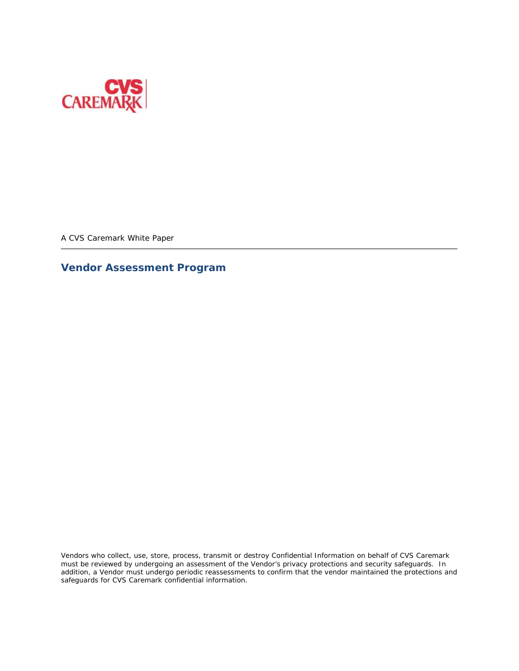

A CVS Caremark White Paper

# **Vendor Assessment Program**

Vendors who collect, use, store, process, transmit or destroy Confidential Information on behalf of CVS Caremark must be reviewed by undergoing an assessment of the Vendor's privacy protections and security safeguards. In addition, a Vendor must undergo periodic reassessments to confirm that the vendor maintained the protections and safeguards for CVS Caremark confidential information.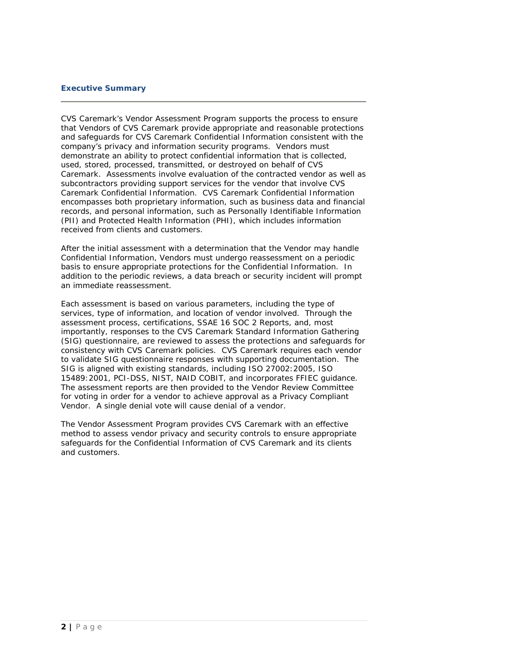# **Executive Summary**

CVS Caremark's Vendor Assessment Program supports the process to ensure that Vendors of CVS Caremark provide appropriate and reasonable protections and safeguards for CVS Caremark Confidential Information consistent with the company's privacy and information security programs. Vendors must demonstrate an ability to protect confidential information that is collected, used, stored, processed, transmitted, or destroyed on behalf of CVS Caremark. Assessments involve evaluation of the contracted vendor as well as subcontractors providing support services for the vendor that involve CVS Caremark Confidential Information. CVS Caremark Confidential Information encompasses both proprietary information, such as business data and financial records, and personal information, such as Personally Identifiable Information (PII) and Protected Health Information (PHI), which includes information received from clients and customers.

After the initial assessment with a determination that the Vendor may handle Confidential Information, Vendors must undergo reassessment on a periodic basis to ensure appropriate protections for the Confidential Information. In addition to the periodic reviews, a data breach or security incident will prompt an immediate reassessment.

Each assessment is based on various parameters, including the type of services, type of information, and location of vendor involved. Through the assessment process, certifications, SSAE 16 SOC 2 Reports, and, most importantly, responses to the CVS Caremark Standard Information Gathering (SIG) questionnaire, are reviewed to assess the protections and safeguards for consistency with CVS Caremark policies. CVS Caremark requires each vendor to validate SIG questionnaire responses with supporting documentation. The SIG is aligned with existing standards, including ISO 27002:2005, ISO 15489:2001, PCI-DSS, NIST, NAID COBIT, and incorporates FFIEC guidance. The assessment reports are then provided to the Vendor Review Committee for voting in order for a vendor to achieve approval as a Privacy Compliant Vendor. A single denial vote will cause denial of a vendor.

The Vendor Assessment Program provides CVS Caremark with an effective method to assess vendor privacy and security controls to ensure appropriate safeguards for the Confidential Information of CVS Caremark and its clients and customers.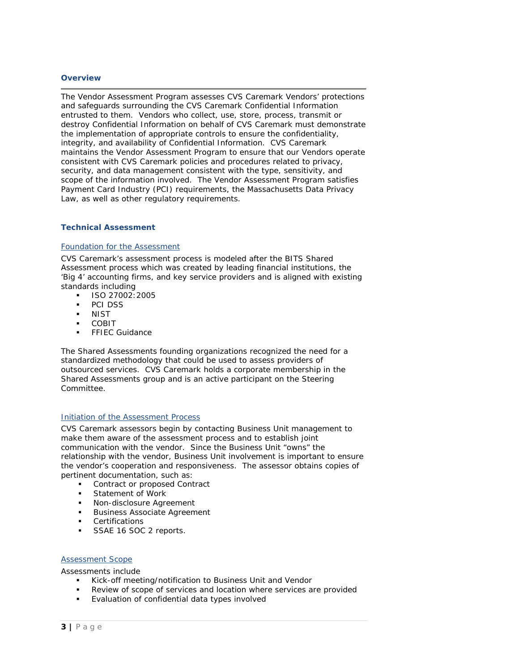### **Overview**

The Vendor Assessment Program assesses CVS Caremark Vendors' protections and safeguards surrounding the CVS Caremark Confidential Information entrusted to them. Vendors who collect, use, store, process, transmit or destroy Confidential Information on behalf of CVS Caremark must demonstrate the implementation of appropriate controls to ensure the confidentiality, integrity, and availability of Confidential Information. CVS Caremark maintains the Vendor Assessment Program to ensure that our Vendors operate consistent with CVS Caremark policies and procedures related to privacy, security, and data management consistent with the type, sensitivity, and scope of the information involved. The Vendor Assessment Program satisfies Payment Card Industry (PCI) requirements, the Massachusetts Data Privacy Law, as well as other regulatory requirements.

### **Technical Assessment**

### Foundation for the Assessment

CVS Caremark's assessment process is modeled after the BITS Shared Assessment process which was created by leading financial institutions, the 'Big 4' accounting firms, and key service providers and is aligned with existing standards including

- $\blacksquare$  ISO 27002:2005
- PCI DSS
- **NIST**
- **COBIT**
- **FFIEC Guidance**

The Shared Assessments founding organizations recognized the need for a standardized methodology that could be used to assess providers of outsourced services. CVS Caremark holds a corporate membership in the Shared Assessments group and is an active participant on the Steering Committee.

### Initiation of the Assessment Process

CVS Caremark assessors begin by contacting Business Unit management to make them aware of the assessment process and to establish joint communication with the vendor. Since the Business Unit "owns" the relationship with the vendor, Business Unit involvement is important to ensure the vendor's cooperation and responsiveness. The assessor obtains copies of pertinent documentation, such as:

- **Contract or proposed Contract**
- **Statement of Work**
- **Non-disclosure Agreement**
- Business Associate Agreement
- Certifications
- SSAE 16 SOC 2 reports.

### Assessment Scope

Assessments include

- Kick-off meeting/notification to Business Unit and Vendor
- Review of scope of services and location where services are provided
- **Evaluation of confidential data types involved**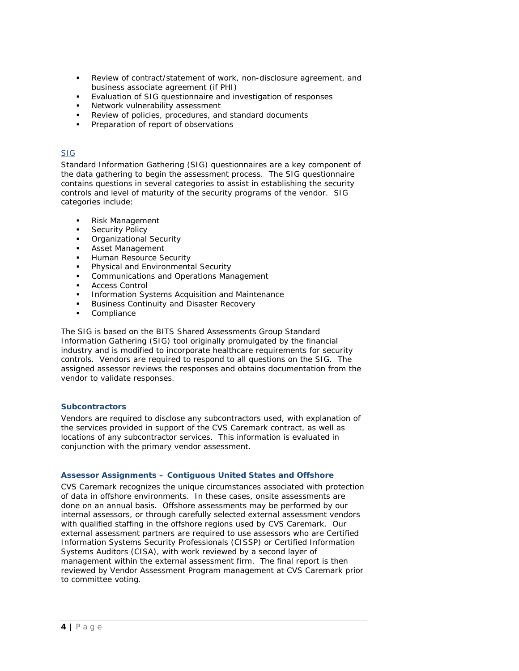- Review of contract/statement of work, non-disclosure agreement, and business associate agreement (if PHI)
- Evaluation of SIG questionnaire and investigation of responses
- Network vulnerability assessment
- Review of policies, procedures, and standard documents
- Preparation of report of observations

# SIG

Standard Information Gathering (SIG) questionnaires are a key component of the data gathering to begin the assessment process. The SIG questionnaire contains questions in several categories to assist in establishing the security controls and level of maturity of the security programs of the vendor. SIG categories include:

- Risk Management
- Security Policy
- Organizational Security
- Asset Management
- Human Resource Security
- Physical and Environmental Security
- Communications and Operations Management
- Access Control
- **Information Systems Acquisition and Maintenance**
- Business Continuity and Disaster Recovery
- Compliance

The SIG is based on the BITS Shared Assessments Group Standard Information Gathering (SIG) tool originally promulgated by the financial industry and is modified to incorporate healthcare requirements for security controls. Vendors are required to respond to all questions on the SIG. The assigned assessor reviews the responses and obtains documentation from the vendor to validate responses.

# **Subcontractors**

Vendors are required to disclose any subcontractors used, with explanation of the services provided in support of the CVS Caremark contract, as well as locations of any subcontractor services. This information is evaluated in conjunction with the primary vendor assessment.

# **Assessor Assignments – Contiguous United States and Offshore**

CVS Caremark recognizes the unique circumstances associated with protection of data in offshore environments. In these cases, onsite assessments are done on an annual basis. Offshore assessments may be performed by our internal assessors, or through carefully selected external assessment vendors with qualified staffing in the offshore regions used by CVS Caremark. Our external assessment partners are required to use assessors who are Certified Information Systems Security Professionals (CISSP) or Certified Information Systems Auditors (CISA), with work reviewed by a second layer of management within the external assessment firm. The final report is then reviewed by Vendor Assessment Program management at CVS Caremark prior to committee voting.